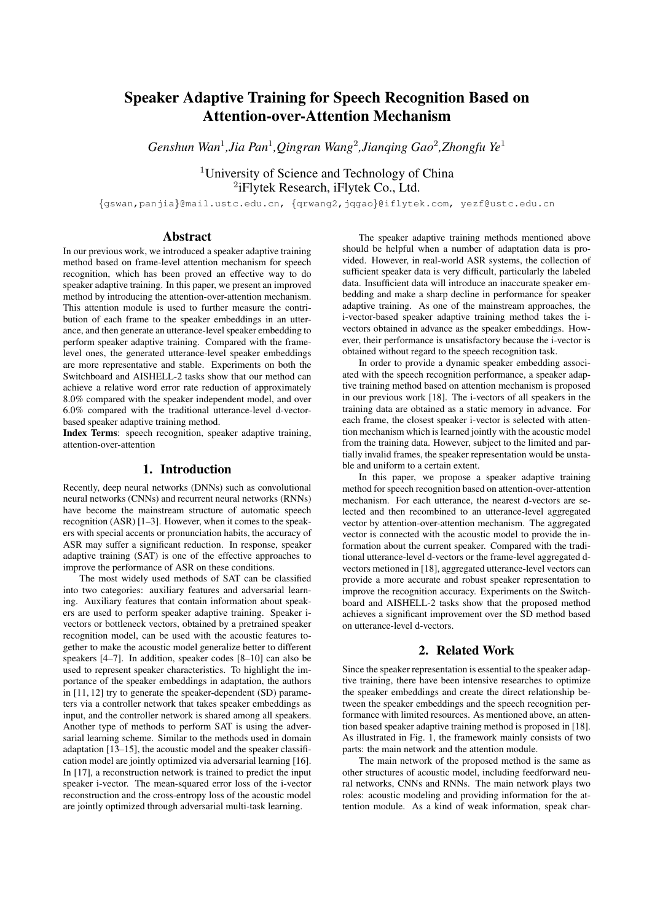# Speaker Adaptive Training for Speech Recognition Based on Attention-over-Attention Mechanism

*Genshun Wan*<sup>1</sup> *,Jia Pan*<sup>1</sup> *,Qingran Wang*<sup>2</sup> *,Jianqing Gao*<sup>2</sup> *,Zhongfu Ye*<sup>1</sup>

<sup>1</sup>University of Science and Technology of China 2 iFlytek Research, iFlytek Co., Ltd.

{gswan,panjia}@mail.ustc.edu.cn, {qrwang2,jqgao}@iflytek.com, yezf@ustc.edu.cn

## Abstract

In our previous work, we introduced a speaker adaptive training method based on frame-level attention mechanism for speech recognition, which has been proved an effective way to do speaker adaptive training. In this paper, we present an improved method by introducing the attention-over-attention mechanism. This attention module is used to further measure the contribution of each frame to the speaker embeddings in an utterance, and then generate an utterance-level speaker embedding to perform speaker adaptive training. Compared with the framelevel ones, the generated utterance-level speaker embeddings are more representative and stable. Experiments on both the Switchboard and AISHELL-2 tasks show that our method can achieve a relative word error rate reduction of approximately 8.0% compared with the speaker independent model, and over 6.0% compared with the traditional utterance-level d-vectorbased speaker adaptive training method.

Index Terms: speech recognition, speaker adaptive training, attention-over-attention

#### 1. Introduction

Recently, deep neural networks (DNNs) such as convolutional neural networks (CNNs) and recurrent neural networks (RNNs) have become the mainstream structure of automatic speech recognition (ASR) [1–3]. However, when it comes to the speakers with special accents or pronunciation habits, the accuracy of ASR may suffer a significant reduction. In response, speaker adaptive training (SAT) is one of the effective approaches to improve the performance of ASR on these conditions.

The most widely used methods of SAT can be classified into two categories: auxiliary features and adversarial learning. Auxiliary features that contain information about speakers are used to perform speaker adaptive training. Speaker ivectors or bottleneck vectors, obtained by a pretrained speaker recognition model, can be used with the acoustic features together to make the acoustic model generalize better to different speakers [4–7]. In addition, speaker codes [8–10] can also be used to represent speaker characteristics. To highlight the importance of the speaker embeddings in adaptation, the authors in [11, 12] try to generate the speaker-dependent (SD) parameters via a controller network that takes speaker embeddings as input, and the controller network is shared among all speakers. Another type of methods to perform SAT is using the adversarial learning scheme. Similar to the methods used in domain adaptation [13–15], the acoustic model and the speaker classification model are jointly optimized via adversarial learning [16]. In [17], a reconstruction network is trained to predict the input speaker i-vector. The mean-squared error loss of the i-vector reconstruction and the cross-entropy loss of the acoustic model are jointly optimized through adversarial multi-task learning.

The speaker adaptive training methods mentioned above should be helpful when a number of adaptation data is provided. However, in real-world ASR systems, the collection of sufficient speaker data is very difficult, particularly the labeled data. Insufficient data will introduce an inaccurate speaker embedding and make a sharp decline in performance for speaker adaptive training. As one of the mainstream approaches, the i-vector-based speaker adaptive training method takes the ivectors obtained in advance as the speaker embeddings. However, their performance is unsatisfactory because the i-vector is obtained without regard to the speech recognition task.

In order to provide a dynamic speaker embedding associated with the speech recognition performance, a speaker adaptive training method based on attention mechanism is proposed in our previous work [18]. The i-vectors of all speakers in the training data are obtained as a static memory in advance. For each frame, the closest speaker i-vector is selected with attention mechanism which is learned jointly with the acoustic model from the training data. However, subject to the limited and partially invalid frames, the speaker representation would be unstable and uniform to a certain extent.

In this paper, we propose a speaker adaptive training method for speech recognition based on attention-over-attention mechanism. For each utterance, the nearest d-vectors are selected and then recombined to an utterance-level aggregated vector by attention-over-attention mechanism. The aggregated vector is connected with the acoustic model to provide the information about the current speaker. Compared with the traditional utterance-level d-vectors or the frame-level aggregated dvectors metioned in [18], aggregated utterance-level vectors can provide a more accurate and robust speaker representation to improve the recognition accuracy. Experiments on the Switchboard and AISHELL-2 tasks show that the proposed method achieves a significant improvement over the SD method based on utterance-level d-vectors.

# 2. Related Work

Since the speaker representation is essential to the speaker adaptive training, there have been intensive researches to optimize the speaker embeddings and create the direct relationship between the speaker embeddings and the speech recognition performance with limited resources. As mentioned above, an attention based speaker adaptive training method is proposed in [18]. As illustrated in Fig. 1, the framework mainly consists of two parts: the main network and the attention module.

The main network of the proposed method is the same as other structures of acoustic model, including feedforward neural networks, CNNs and RNNs. The main network plays two roles: acoustic modeling and providing information for the attention module. As a kind of weak information, speak char-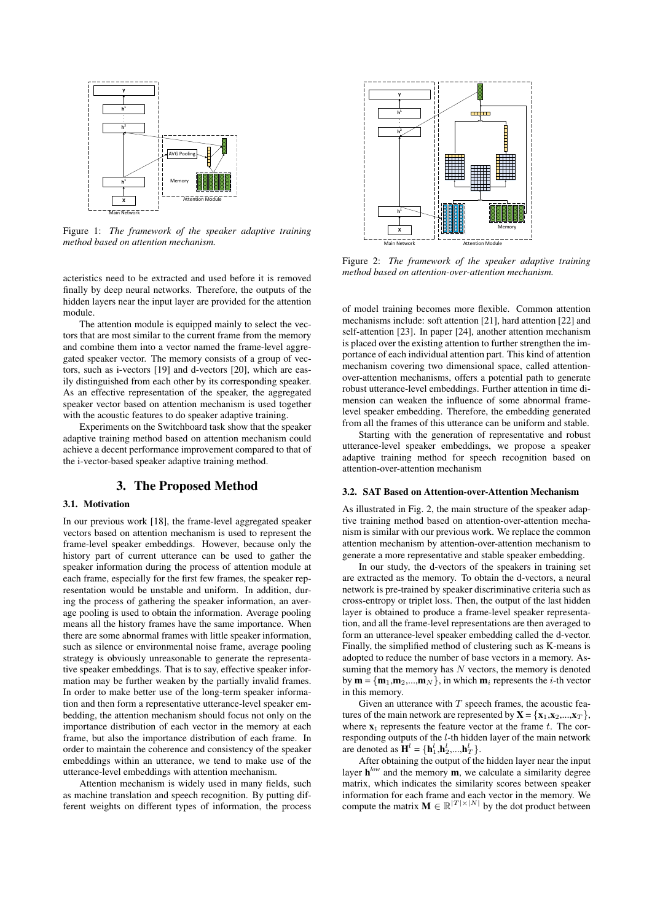

Figure 1: *The framework of the speaker adaptive training method based on attention mechanism.*

acteristics need to be extracted and used before it is removed finally by deep neural networks. Therefore, the outputs of the hidden layers near the input layer are provided for the attention module.

The attention module is equipped mainly to select the vectors that are most similar to the current frame from the memory and combine them into a vector named the frame-level aggregated speaker vector. The memory consists of a group of vectors, such as i-vectors [19] and d-vectors [20], which are easily distinguished from each other by its corresponding speaker. As an effective representation of the speaker, the aggregated speaker vector based on attention mechanism is used together with the acoustic features to do speaker adaptive training.

Experiments on the Switchboard task show that the speaker adaptive training method based on attention mechanism could achieve a decent performance improvement compared to that of the i-vector-based speaker adaptive training method.

#### 3. The Proposed Method

#### 3.1. Motivation

In our previous work [18], the frame-level aggregated speaker vectors based on attention mechanism is used to represent the frame-level speaker embeddings. However, because only the history part of current utterance can be used to gather the speaker information during the process of attention module at each frame, especially for the first few frames, the speaker representation would be unstable and uniform. In addition, during the process of gathering the speaker information, an average pooling is used to obtain the information. Average pooling means all the history frames have the same importance. When there are some abnormal frames with little speaker information, such as silence or environmental noise frame, average pooling strategy is obviously unreasonable to generate the representative speaker embeddings. That is to say, effective speaker information may be further weaken by the partially invalid frames. In order to make better use of the long-term speaker information and then form a representative utterance-level speaker embedding, the attention mechanism should focus not only on the importance distribution of each vector in the memory at each frame, but also the importance distribution of each frame. In order to maintain the coherence and consistency of the speaker embeddings within an utterance, we tend to make use of the utterance-level embeddings with attention mechanism.

Attention mechanism is widely used in many fields, such as machine translation and speech recognition. By putting different weights on different types of information, the process



Figure 2: *The framework of the speaker adaptive training method based on attention-over-attention mechanism.*

of model training becomes more flexible. Common attention mechanisms include: soft attention [21], hard attention [22] and self-attention [23]. In paper [24], another attention mechanism is placed over the existing attention to further strengthen the importance of each individual attention part. This kind of attention mechanism covering two dimensional space, called attentionover-attention mechanisms, offers a potential path to generate robust utterance-level embeddings. Further attention in time dimension can weaken the influence of some abnormal framelevel speaker embedding. Therefore, the embedding generated from all the frames of this utterance can be uniform and stable.

Starting with the generation of representative and robust utterance-level speaker embeddings, we propose a speaker adaptive training method for speech recognition based on attention-over-attention mechanism

#### 3.2. SAT Based on Attention-over-Attention Mechanism

As illustrated in Fig. 2, the main structure of the speaker adaptive training method based on attention-over-attention mechanism is similar with our previous work. We replace the common attention mechanism by attention-over-attention mechanism to generate a more representative and stable speaker embedding.

In our study, the d-vectors of the speakers in training set are extracted as the memory. To obtain the d-vectors, a neural network is pre-trained by speaker discriminative criteria such as cross-entropy or triplet loss. Then, the output of the last hidden layer is obtained to produce a frame-level speaker representation, and all the frame-level representations are then averaged to form an utterance-level speaker embedding called the d-vector. Finally, the simplified method of clustering such as K-means is adopted to reduce the number of base vectors in a memory. Assuming that the memory has  $N$  vectors, the memory is denoted by  $\mathbf{m} = {\mathbf{m}_1, \mathbf{m}_2, ..., \mathbf{m}_N}$ , in which  $\mathbf{m}_i$  represents the *i*-th vector in this memory.

Given an utterance with  $T$  speech frames, the acoustic features of the main network are represented by  $X = \{x_1, x_2, ..., x_T\}$ , where  $x_t$  represents the feature vector at the frame t. The corresponding outputs of the l-th hidden layer of the main network are denoted as  $\mathbf{H}^l = {\mathbf{h}^l_1, \mathbf{h}^l_2, ..., \mathbf{h}^l_T}$ .

After obtaining the output of the hidden layer near the input layer  $h^{low}$  and the memory m, we calculate a similarity degree matrix, which indicates the similarity scores between speaker information for each frame and each vector in the memory. We compute the matrix  $\mathbf{M} \in \mathbb{R}^{|T| \times |N|}$  by the dot product between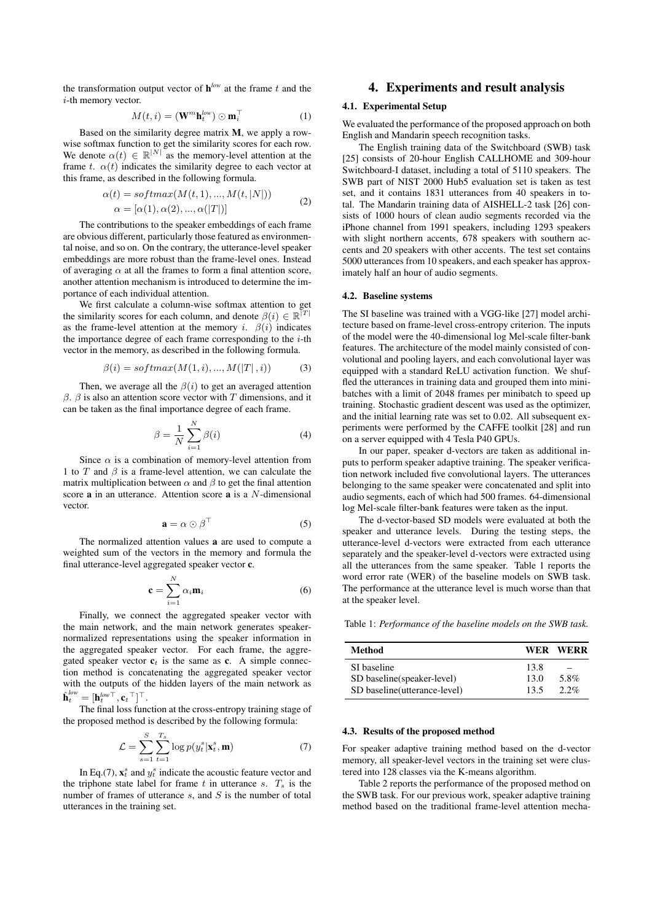the transformation output vector of  $h^{low}$  at the frame t and the i-th memory vector.

$$
M(t, i) = (\mathbf{W}^m \mathbf{h}_t^{low}) \odot \mathbf{m}_i^\top
$$
 (1)

Based on the similarity degree matrix M, we apply a rowwise softmax function to get the similarity scores for each row. We denote  $\alpha(t) \in \mathbb{R}^{|N|}$  as the memory-level attention at the frame t.  $\alpha(t)$  indicates the similarity degree to each vector at this frame, as described in the following formula.

$$
\alpha(t) = softmax(M(t, 1), ..., M(t, |N|))
$$
  
\n
$$
\alpha = [\alpha(1), \alpha(2), ..., \alpha(|T|)]
$$
\n(2)

The contributions to the speaker embeddings of each frame are obvious different, particularly those featured as environmental noise, and so on. On the contrary, the utterance-level speaker embeddings are more robust than the frame-level ones. Instead of averaging  $\alpha$  at all the frames to form a final attention score, another attention mechanism is introduced to determine the importance of each individual attention.

We first calculate a column-wise softmax attention to get the similarity scores for each column, and denote  $\beta(i) \in \mathbb{R}^{\lceil T \rceil}$ as the frame-level attention at the memory i.  $\beta(i)$  indicates the importance degree of each frame corresponding to the  $i$ -th vector in the memory, as described in the following formula.

$$
\beta(i) = softmax(M(1, i), ..., M(|T|, i))
$$
\n(3)

Then, we average all the  $\beta(i)$  to get an averaged attention  $β$ .  $β$  is also an attention score vector with T dimensions, and it can be taken as the final importance degree of each frame.

$$
\beta = \frac{1}{N} \sum_{i=1}^{N} \beta(i) \tag{4}
$$

Since  $\alpha$  is a combination of memory-level attention from 1 to T and  $\beta$  is a frame-level attention, we can calculate the matrix multiplication between  $\alpha$  and  $\beta$  to get the final attention score a in an utterance. Attention score a is a N-dimensional vector.

$$
\mathbf{a} = \alpha \odot \beta^{\top} \tag{5}
$$

The normalized attention values a are used to compute a weighted sum of the vectors in the memory and formula the final utterance-level aggregated speaker vector c.

$$
\mathbf{c} = \sum_{i=1}^{N} \alpha_i \mathbf{m}_i \tag{6}
$$

Finally, we connect the aggregated speaker vector with the main network, and the main network generates speakernormalized representations using the speaker information in the aggregated speaker vector. For each frame, the aggregated speaker vector  $c_t$  is the same as c. A simple connection method is concatenating the aggregated speaker vector with the outputs of the hidden layers of the main network as  $\hat{\textbf{h}}_{t}^{low} = [\textbf{h}_{t}^{low\top}, \textbf{c}_{t}^{\top}]^{\top}.$ 

The final loss function at the cross-entropy training stage of the proposed method is described by the following formula:

$$
\mathcal{L} = \sum_{s=1}^{S} \sum_{t=1}^{T_s} \log p(y_t^s | \mathbf{x}_t^s, \mathbf{m}) \tag{7}
$$

In Eq.(7),  $\mathbf{x}_t^s$  and  $y_t^s$  indicate the acoustic feature vector and the triphone state label for frame t in utterance s.  $T_s$  is the number of frames of utterance  $s$ , and  $S$  is the number of total utterances in the training set.

### 4. Experiments and result analysis

#### 4.1. Experimental Setup

We evaluated the performance of the proposed approach on both English and Mandarin speech recognition tasks.

The English training data of the Switchboard (SWB) task [25] consists of 20-hour English CALLHOME and 309-hour Switchboard-I dataset, including a total of 5110 speakers. The SWB part of NIST 2000 Hub5 evaluation set is taken as test set, and it contains 1831 utterances from 40 speakers in total. The Mandarin training data of AISHELL-2 task [26] consists of 1000 hours of clean audio segments recorded via the iPhone channel from 1991 speakers, including 1293 speakers with slight northern accents, 678 speakers with southern accents and 20 speakers with other accents. The test set contains 5000 utterances from 10 speakers, and each speaker has approximately half an hour of audio segments.

#### 4.2. Baseline systems

The SI baseline was trained with a VGG-like [27] model architecture based on frame-level cross-entropy criterion. The inputs of the model were the 40-dimensional log Mel-scale filter-bank features. The architecture of the model mainly consisted of convolutional and pooling layers, and each convolutional layer was equipped with a standard ReLU activation function. We shuffled the utterances in training data and grouped them into minibatches with a limit of 2048 frames per minibatch to speed up training. Stochastic gradient descent was used as the optimizer, and the initial learning rate was set to 0.02. All subsequent experiments were performed by the CAFFE toolkit [28] and run on a server equipped with 4 Tesla P40 GPUs.

In our paper, speaker d-vectors are taken as additional inputs to perform speaker adaptive training. The speaker verification network included five convolutional layers. The utterances belonging to the same speaker were concatenated and split into audio segments, each of which had 500 frames. 64-dimensional log Mel-scale filter-bank features were taken as the input.

The d-vector-based SD models were evaluated at both the speaker and utterance levels. During the testing steps, the utterance-level d-vectors were extracted from each utterance separately and the speaker-level d-vectors were extracted using all the utterances from the same speaker. Table 1 reports the word error rate (WER) of the baseline models on SWB task. The performance at the utterance level is much worse than that at the speaker level.

Table 1: *Performance of the baseline models on the SWB task.*

| Method                        |      | WER WERR |
|-------------------------------|------|----------|
| SI baseline                   | 13.8 |          |
| SD baseline (speaker-level)   | 13.0 | 5.8%     |
| SD baseline (utterance-level) | 13.5 | $2.2\%$  |

#### 4.3. Results of the proposed method

For speaker adaptive training method based on the d-vector memory, all speaker-level vectors in the training set were clustered into 128 classes via the K-means algorithm.

Table 2 reports the performance of the proposed method on the SWB task. For our previous work, speaker adaptive training method based on the traditional frame-level attention mecha-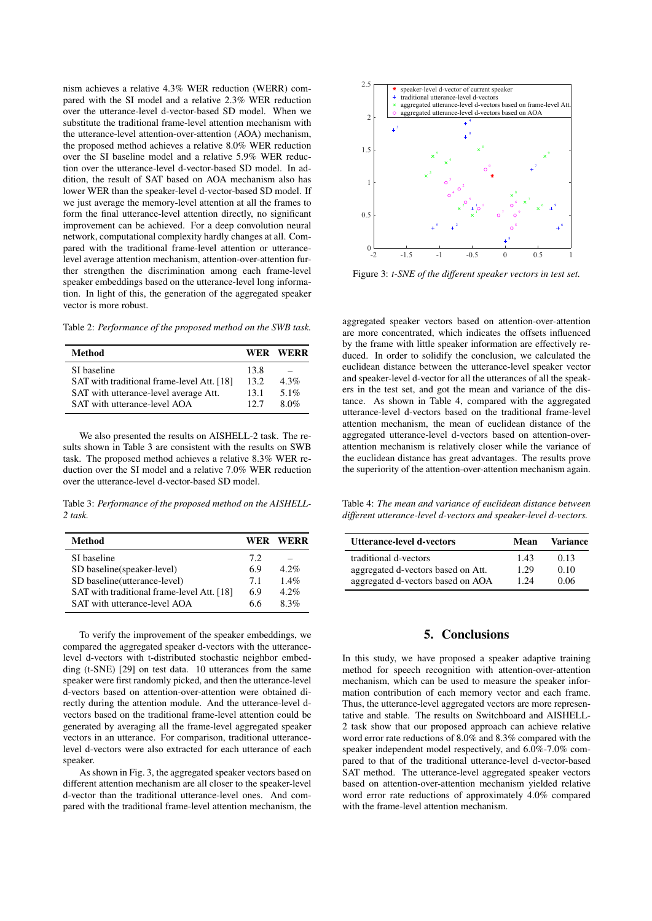nism achieves a relative 4.3% WER reduction (WERR) compared with the SI model and a relative 2.3% WER reduction over the utterance-level d-vector-based SD model. When we substitute the traditional frame-level attention mechanism with the utterance-level attention-over-attention (AOA) mechanism, the proposed method achieves a relative 8.0% WER reduction over the SI baseline model and a relative 5.9% WER reduction over the utterance-level d-vector-based SD model. In addition, the result of SAT based on AOA mechanism also has lower WER than the speaker-level d-vector-based SD model. If we just average the memory-level attention at all the frames to form the final utterance-level attention directly, no significant improvement can be achieved. For a deep convolution neural network, computational complexity hardly changes at all. Compared with the traditional frame-level attention or utterancelevel average attention mechanism, attention-over-attention further strengthen the discrimination among each frame-level speaker embeddings based on the utterance-level long information. In light of this, the generation of the aggregated speaker vector is more robust.

Table 2: *Performance of the proposed method on the SWB task.*

| Method                                     |      | WER WERR |
|--------------------------------------------|------|----------|
| SI baseline                                | 13.8 |          |
| SAT with traditional frame-level Att. [18] | 13.2 | $4.3\%$  |
| SAT with utterance-level average Att.      | 13.1 | 5.1%     |
| SAT with utterance-level AOA               | 12.7 | 8.0%     |

We also presented the results on AISHELL-2 task. The results shown in Table 3 are consistent with the results on SWB task. The proposed method achieves a relative 8.3% WER reduction over the SI model and a relative 7.0% WER reduction over the utterance-level d-vector-based SD model.

Table 3: *Performance of the proposed method on the AISHELL-2 task.*

| Method                                     | <b>WER</b> | WERR    |
|--------------------------------------------|------------|---------|
| SI baseline                                | 7.2.       |         |
| SD baseline (speaker-level)                | 6.9        | $4.2\%$ |
| SD baseline(utterance-level)               | 7.1        | $1.4\%$ |
| SAT with traditional frame-level Att. [18] | 6.9        | $4.2\%$ |
| SAT with utterance-level AOA               | 66         | 8.3%    |

To verify the improvement of the speaker embeddings, we compared the aggregated speaker d-vectors with the utterancelevel d-vectors with t-distributed stochastic neighbor embedding (t-SNE) [29] on test data. 10 utterances from the same speaker were first randomly picked, and then the utterance-level d-vectors based on attention-over-attention were obtained directly during the attention module. And the utterance-level dvectors based on the traditional frame-level attention could be generated by averaging all the frame-level aggregated speaker vectors in an utterance. For comparison, traditional utterancelevel d-vectors were also extracted for each utterance of each speaker.

As shown in Fig. 3, the aggregated speaker vectors based on different attention mechanism are all closer to the speaker-level d-vector than the traditional utterance-level ones. And compared with the traditional frame-level attention mechanism, the



Figure 3: *t-SNE of the different speaker vectors in test set.*

aggregated speaker vectors based on attention-over-attention are more concentrated, which indicates the offsets influenced by the frame with little speaker information are effectively reduced. In order to solidify the conclusion, we calculated the euclidean distance between the utterance-level speaker vector and speaker-level d-vector for all the utterances of all the speakers in the test set, and got the mean and variance of the distance. As shown in Table 4, compared with the aggregated utterance-level d-vectors based on the traditional frame-level attention mechanism, the mean of euclidean distance of the aggregated utterance-level d-vectors based on attention-overattention mechanism is relatively closer while the variance of the euclidean distance has great advantages. The results prove the superiority of the attention-over-attention mechanism again.

Table 4: *The mean and variance of euclidean distance between different utterance-level d-vectors and speaker-level d-vectors.*

| Utterance-level d-vectors                                   | Mean         | <b>Variance</b> |
|-------------------------------------------------------------|--------------|-----------------|
| traditional d-vectors<br>aggregated d-vectors based on Att. | 1.43<br>1.29 | 0.13<br>0.10    |
| aggregated d-vectors based on AOA                           | 1 24         | 0.06            |

## 5. Conclusions

In this study, we have proposed a speaker adaptive training method for speech recognition with attention-over-attention mechanism, which can be used to measure the speaker information contribution of each memory vector and each frame. Thus, the utterance-level aggregated vectors are more representative and stable. The results on Switchboard and AISHELL-2 task show that our proposed approach can achieve relative word error rate reductions of 8.0% and 8.3% compared with the speaker independent model respectively, and 6.0%-7.0% compared to that of the traditional utterance-level d-vector-based SAT method. The utterance-level aggregated speaker vectors based on attention-over-attention mechanism yielded relative word error rate reductions of approximately 4.0% compared with the frame-level attention mechanism.